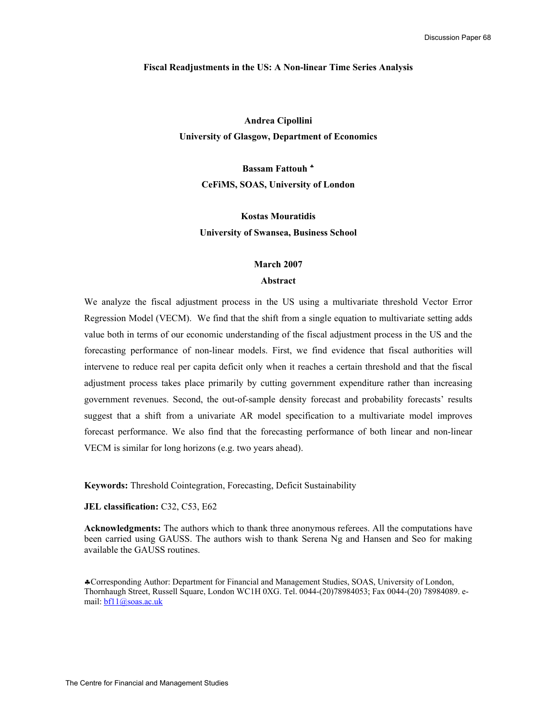#### **Fiscal Readjustments in the US: A Non-linear Time Series Analysis**

**Andrea Cipollini University of Glasgow, Department of Economics** 

**Bassam Fattouh** ♣ **CeFiMS, SOAS, University of London** 

**Kostas Mouratidis University of Swansea, Business School** 

#### **March 2007**

## **Abstract**

We analyze the fiscal adjustment process in the US using a multivariate threshold Vector Error Regression Model (VECM). We find that the shift from a single equation to multivariate setting adds value both in terms of our economic understanding of the fiscal adjustment process in the US and the forecasting performance of non-linear models. First, we find evidence that fiscal authorities will intervene to reduce real per capita deficit only when it reaches a certain threshold and that the fiscal adjustment process takes place primarily by cutting government expenditure rather than increasing government revenues. Second, the out-of-sample density forecast and probability forecasts' results suggest that a shift from a univariate AR model specification to a multivariate model improves forecast performance. We also find that the forecasting performance of both linear and non-linear VECM is similar for long horizons (e.g. two years ahead).

**Keywords:** Threshold Cointegration, Forecasting, Deficit Sustainability

## **JEL classification:** C32, C53, E62

**Acknowledgments:** The authors which to thank three anonymous referees. All the computations have been carried using GAUSS. The authors wish to thank Serena Ng and Hansen and Seo for making available the GAUSS routines.

♣Corresponding Author: Department for Financial and Management Studies, SOAS, University of London, Thornhaugh Street, Russell Square, London WC1H 0XG. Tel. 0044-(20)78984053; Fax 0044-(20) 78984089. email: bf11@soas.ac.uk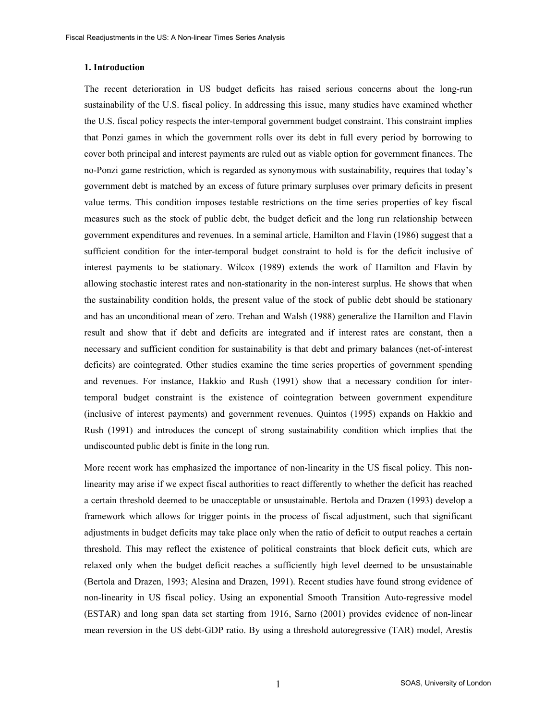#### **1. Introduction**

The recent deterioration in US budget deficits has raised serious concerns about the long-run sustainability of the U.S. fiscal policy. In addressing this issue, many studies have examined whether the U.S. fiscal policy respects the inter-temporal government budget constraint. This constraint implies that Ponzi games in which the government rolls over its debt in full every period by borrowing to cover both principal and interest payments are ruled out as viable option for government finances. The no-Ponzi game restriction, which is regarded as synonymous with sustainability, requires that today's government debt is matched by an excess of future primary surpluses over primary deficits in present value terms. This condition imposes testable restrictions on the time series properties of key fiscal measures such as the stock of public debt, the budget deficit and the long run relationship between government expenditures and revenues. In a seminal article, Hamilton and Flavin (1986) suggest that a sufficient condition for the inter-temporal budget constraint to hold is for the deficit inclusive of interest payments to be stationary. Wilcox (1989) extends the work of Hamilton and Flavin by allowing stochastic interest rates and non-stationarity in the non-interest surplus. He shows that when the sustainability condition holds, the present value of the stock of public debt should be stationary and has an unconditional mean of zero. Trehan and Walsh (1988) generalize the Hamilton and Flavin result and show that if debt and deficits are integrated and if interest rates are constant, then a necessary and sufficient condition for sustainability is that debt and primary balances (net-of-interest deficits) are cointegrated. Other studies examine the time series properties of government spending and revenues. For instance, Hakkio and Rush (1991) show that a necessary condition for intertemporal budget constraint is the existence of cointegration between government expenditure (inclusive of interest payments) and government revenues. Quintos (1995) expands on Hakkio and Rush (1991) and introduces the concept of strong sustainability condition which implies that the undiscounted public debt is finite in the long run.

More recent work has emphasized the importance of non-linearity in the US fiscal policy. This nonlinearity may arise if we expect fiscal authorities to react differently to whether the deficit has reached a certain threshold deemed to be unacceptable or unsustainable. Bertola and Drazen (1993) develop a framework which allows for trigger points in the process of fiscal adjustment, such that significant adjustments in budget deficits may take place only when the ratio of deficit to output reaches a certain threshold. This may reflect the existence of political constraints that block deficit cuts, which are relaxed only when the budget deficit reaches a sufficiently high level deemed to be unsustainable (Bertola and Drazen, 1993; Alesina and Drazen, 1991). Recent studies have found strong evidence of non-linearity in US fiscal policy. Using an exponential Smooth Transition Auto-regressive model (ESTAR) and long span data set starting from 1916, Sarno (2001) provides evidence of non-linear mean reversion in the US debt-GDP ratio. By using a threshold autoregressive (TAR) model, Arestis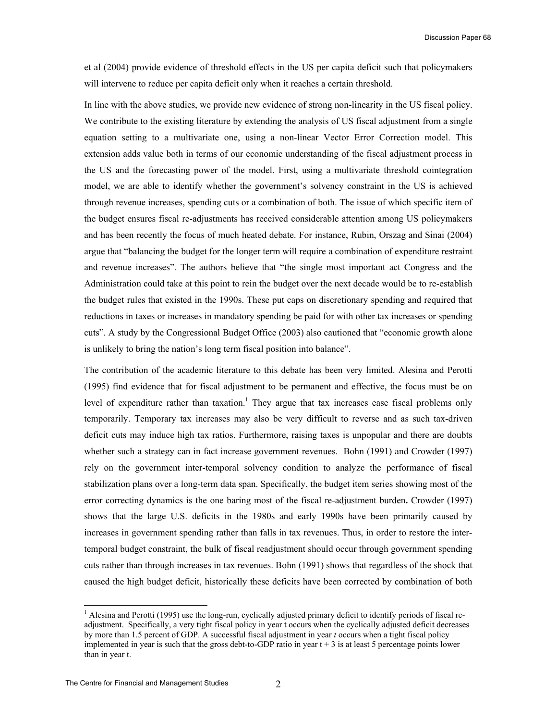et al (2004) provide evidence of threshold effects in the US per capita deficit such that policymakers will intervene to reduce per capita deficit only when it reaches a certain threshold.

In line with the above studies, we provide new evidence of strong non-linearity in the US fiscal policy. We contribute to the existing literature by extending the analysis of US fiscal adjustment from a single equation setting to a multivariate one, using a non-linear Vector Error Correction model. This extension adds value both in terms of our economic understanding of the fiscal adjustment process in the US and the forecasting power of the model. First, using a multivariate threshold cointegration model, we are able to identify whether the government's solvency constraint in the US is achieved through revenue increases, spending cuts or a combination of both. The issue of which specific item of the budget ensures fiscal re-adjustments has received considerable attention among US policymakers and has been recently the focus of much heated debate. For instance, Rubin, Orszag and Sinai (2004) argue that "balancing the budget for the longer term will require a combination of expenditure restraint and revenue increases". The authors believe that "the single most important act Congress and the Administration could take at this point to rein the budget over the next decade would be to re-establish the budget rules that existed in the 1990s. These put caps on discretionary spending and required that reductions in taxes or increases in mandatory spending be paid for with other tax increases or spending cuts". A study by the Congressional Budget Office (2003) also cautioned that "economic growth alone is unlikely to bring the nation's long term fiscal position into balance".

The contribution of the academic literature to this debate has been very limited. Alesina and Perotti (1995) find evidence that for fiscal adjustment to be permanent and effective, the focus must be on level of expenditure rather than taxation.<sup>1</sup> They argue that tax increases ease fiscal problems only temporarily. Temporary tax increases may also be very difficult to reverse and as such tax-driven deficit cuts may induce high tax ratios. Furthermore, raising taxes is unpopular and there are doubts whether such a strategy can in fact increase government revenues. Bohn (1991) and Crowder (1997) rely on the government inter-temporal solvency condition to analyze the performance of fiscal stabilization plans over a long-term data span. Specifically, the budget item series showing most of the error correcting dynamics is the one baring most of the fiscal re-adjustment burden**.** Crowder (1997) shows that the large U.S. deficits in the 1980s and early 1990s have been primarily caused by increases in government spending rather than falls in tax revenues. Thus, in order to restore the intertemporal budget constraint, the bulk of fiscal readjustment should occur through government spending cuts rather than through increases in tax revenues. Bohn (1991) shows that regardless of the shock that caused the high budget deficit, historically these deficits have been corrected by combination of both

-

<sup>&</sup>lt;sup>1</sup> Alesina and Perotti (1995) use the long-run, cyclically adjusted primary deficit to identify periods of fiscal readjustment. Specifically, a very tight fiscal policy in year t occurs when the cyclically adjusted deficit decreases by more than 1.5 percent of GDP. A successful fiscal adjustment in year *t* occurs when a tight fiscal policy implemented in year is such that the gross debt-to-GDP ratio in year  $t + 3$  is at least 5 percentage points lower than in year t.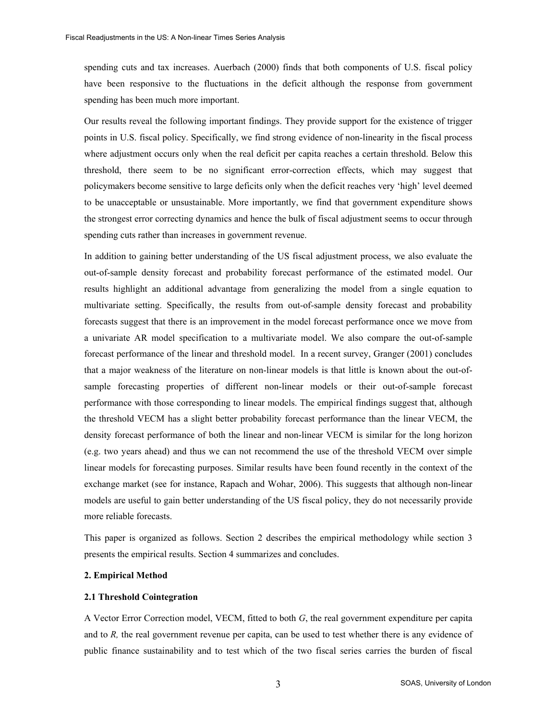spending cuts and tax increases. Auerbach (2000) finds that both components of U.S. fiscal policy have been responsive to the fluctuations in the deficit although the response from government spending has been much more important.

Our results reveal the following important findings. They provide support for the existence of trigger points in U.S. fiscal policy. Specifically, we find strong evidence of non-linearity in the fiscal process where adjustment occurs only when the real deficit per capita reaches a certain threshold. Below this threshold, there seem to be no significant error-correction effects, which may suggest that policymakers become sensitive to large deficits only when the deficit reaches very 'high' level deemed to be unacceptable or unsustainable. More importantly, we find that government expenditure shows the strongest error correcting dynamics and hence the bulk of fiscal adjustment seems to occur through spending cuts rather than increases in government revenue.

In addition to gaining better understanding of the US fiscal adjustment process, we also evaluate the out-of-sample density forecast and probability forecast performance of the estimated model. Our results highlight an additional advantage from generalizing the model from a single equation to multivariate setting. Specifically, the results from out-of-sample density forecast and probability forecasts suggest that there is an improvement in the model forecast performance once we move from a univariate AR model specification to a multivariate model. We also compare the out-of-sample forecast performance of the linear and threshold model. In a recent survey, Granger (2001) concludes that a major weakness of the literature on non-linear models is that little is known about the out-ofsample forecasting properties of different non-linear models or their out-of-sample forecast performance with those corresponding to linear models. The empirical findings suggest that, although the threshold VECM has a slight better probability forecast performance than the linear VECM, the density forecast performance of both the linear and non-linear VECM is similar for the long horizon (e.g. two years ahead) and thus we can not recommend the use of the threshold VECM over simple linear models for forecasting purposes. Similar results have been found recently in the context of the exchange market (see for instance, Rapach and Wohar, 2006). This suggests that although non-linear models are useful to gain better understanding of the US fiscal policy, they do not necessarily provide more reliable forecasts.

This paper is organized as follows. Section 2 describes the empirical methodology while section 3 presents the empirical results. Section 4 summarizes and concludes.

## **2. Empirical Method**

#### **2.1 Threshold Cointegration**

A Vector Error Correction model, VECM, fitted to both *G*, the real government expenditure per capita and to *R,* the real government revenue per capita, can be used to test whether there is any evidence of public finance sustainability and to test which of the two fiscal series carries the burden of fiscal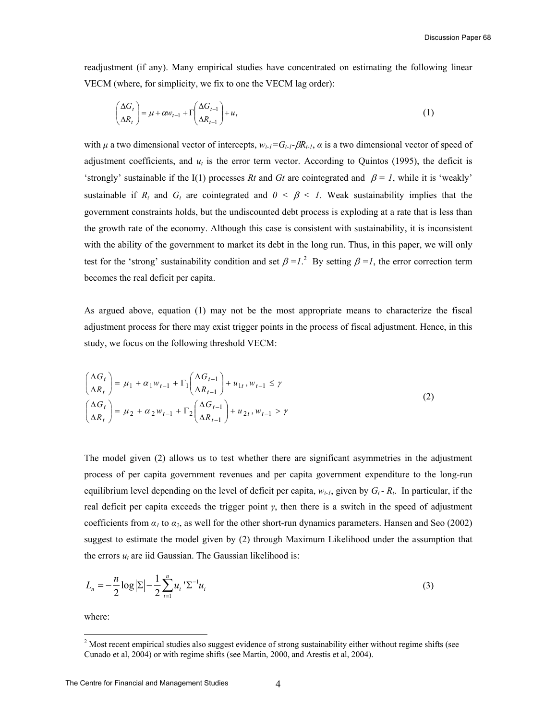readjustment (if any). Many empirical studies have concentrated on estimating the following linear VECM (where, for simplicity, we fix to one the VECM lag order):

$$
\begin{pmatrix} \Delta G_t \\ \Delta R_t \end{pmatrix} = \mu + \alpha w_{t-1} + \Gamma \begin{pmatrix} \Delta G_{t-1} \\ \Delta R_{t-1} \end{pmatrix} + u_t
$$
\n(1)

with  $\mu$  a two dimensional vector of intercepts,  $w_{t-1} = G_{t-1} - \beta R_{t-1}$ ,  $\alpha$  is a two dimensional vector of speed of adjustment coefficients, and  $u_t$  is the error term vector. According to Quintos (1995), the deficit is 'strongly' sustainable if the I(1) processes *Rt* and *Gt* are cointegrated and  $\beta = 1$ , while it is 'weakly' sustainable if  $R_t$  and  $G_t$  are cointegrated and  $0 \leq \beta \leq 1$ . Weak sustainability implies that the government constraints holds, but the undiscounted debt process is exploding at a rate that is less than the growth rate of the economy. Although this case is consistent with sustainability, it is inconsistent with the ability of the government to market its debt in the long run. Thus, in this paper, we will only test for the 'strong' sustainability condition and set  $\beta = I$ <sup>2</sup>. By setting  $\beta = I$ , the error correction term becomes the real deficit per capita.

As argued above, equation (1) may not be the most appropriate means to characterize the fiscal adjustment process for there may exist trigger points in the process of fiscal adjustment. Hence, in this study, we focus on the following threshold VECM:

$$
\begin{pmatrix}\n\Delta G_t \\
\Delta R_t\n\end{pmatrix} = \mu_1 + \alpha_1 w_{t-1} + \Gamma_1 \begin{pmatrix}\n\Delta G_{t-1} \\
\Delta R_{t-1}\n\end{pmatrix} + u_{1t}, w_{t-1} \le \gamma
$$
\n
$$
\begin{pmatrix}\n\Delta G_t \\
\Delta R_t\n\end{pmatrix} = \mu_2 + \alpha_2 w_{t-1} + \Gamma_2 \begin{pmatrix}\n\Delta G_{t-1} \\
\Delta R_{t-1}\n\end{pmatrix} + u_{2t}, w_{t-1} > \gamma
$$
\n(2)

The model given (2) allows us to test whether there are significant asymmetries in the adjustment process of per capita government revenues and per capita government expenditure to the long-run equilibrium level depending on the level of deficit per capita,  $w_{t-1}$ , given by  $G_t - R_t$ . In particular, if the real deficit per capita exceeds the trigger point *γ*, then there is a switch in the speed of adjustment coefficients from  $\alpha_1$  to  $\alpha_2$ , as well for the other short-run dynamics parameters. Hansen and Seo (2002) suggest to estimate the model given by (2) through Maximum Likelihood under the assumption that the errors  $u_t$  are iid Gaussian. The Gaussian likelihood is:

$$
L_n = -\frac{n}{2} \log |\Sigma| - \frac{1}{2} \sum_{t=1}^n u_t \, \Sigma^{-1} u_t \tag{3}
$$

where:

-

 $2^{2}$  Most recent empirical studies also suggest evidence of strong sustainability either without regime shifts (see Cunado et al, 2004) or with regime shifts (see Martin, 2000, and Arestis et al, 2004).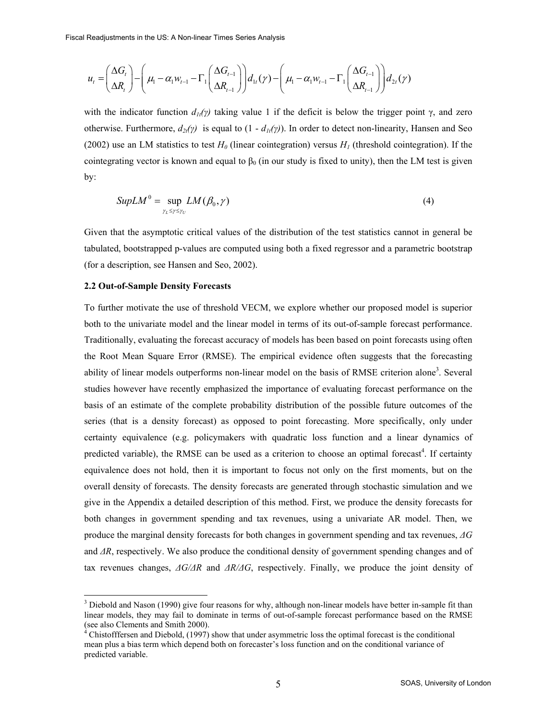$$
u_{t} = \left(\frac{\Delta G_{t}}{\Delta R_{t}}\right) - \left(\mu_{1} - \alpha_{1} w_{t-1} - \Gamma_{1}\left(\frac{\Delta G_{t-1}}{\Delta R_{t-1}}\right)\right) d_{1t}(\gamma) - \left(\mu_{1} - \alpha_{1} w_{t-1} - \Gamma_{1}\left(\frac{\Delta G_{t-1}}{\Delta R_{t-1}}\right)\right) d_{2t}(\gamma)
$$

with the indicator function  $d_{1t}(\gamma)$  taking value 1 if the deficit is below the trigger point  $\gamma$ , and zero otherwise. Furthermore,  $d_{2t}(y)$  is equal to  $(1 - d_{1t}(y))$ . In order to detect non-linearity, Hansen and Seo (2002) use an LM statistics to test  $H_0$  (linear cointegration) versus  $H_1$  (threshold cointegration). If the cointegrating vector is known and equal to  $\beta_0$  (in our study is fixed to unity), then the LM test is given by:

$$
SupLM^0 = \sup_{\gamma_L \leq \gamma \leq \gamma_U} LM(\beta_0, \gamma) \tag{4}
$$

Given that the asymptotic critical values of the distribution of the test statistics cannot in general be tabulated, bootstrapped p-values are computed using both a fixed regressor and a parametric bootstrap (for a description, see Hansen and Seo, 2002).

## **2.2 Out-of-Sample Density Forecasts**

-

To further motivate the use of threshold VECM, we explore whether our proposed model is superior both to the univariate model and the linear model in terms of its out-of-sample forecast performance. Traditionally, evaluating the forecast accuracy of models has been based on point forecasts using often the Root Mean Square Error (RMSE). The empirical evidence often suggests that the forecasting ability of linear models outperforms non-linear model on the basis of RMSE criterion alone<sup>3</sup>. Several studies however have recently emphasized the importance of evaluating forecast performance on the basis of an estimate of the complete probability distribution of the possible future outcomes of the series (that is a density forecast) as opposed to point forecasting. More specifically, only under certainty equivalence (e.g. policymakers with quadratic loss function and a linear dynamics of predicted variable), the RMSE can be used as a criterion to choose an optimal forecast<sup>4</sup>. If certainty equivalence does not hold, then it is important to focus not only on the first moments, but on the overall density of forecasts. The density forecasts are generated through stochastic simulation and we give in the Appendix a detailed description of this method. First, we produce the density forecasts for both changes in government spending and tax revenues, using a univariate AR model. Then, we produce the marginal density forecasts for both changes in government spending and tax revenues, *∆G* and *∆R*, respectively. We also produce the conditional density of government spending changes and of tax revenues changes, *∆G/∆R* and *∆R/∆G*, respectively. Finally, we produce the joint density of

<sup>&</sup>lt;sup>3</sup> Diebold and Nason (1990) give four reasons for why, although non-linear models have better in-sample fit than linear models, they may fail to dominate in terms of out-of-sample forecast performance based on the RMSE (see also Clements and Smith 2000).

 $4^4$  Chistofffersen and Diebold, (1997) show that under asymmetric loss the optimal forecast is the conditional mean plus a bias term which depend both on forecaster's loss function and on the conditional variance of predicted variable.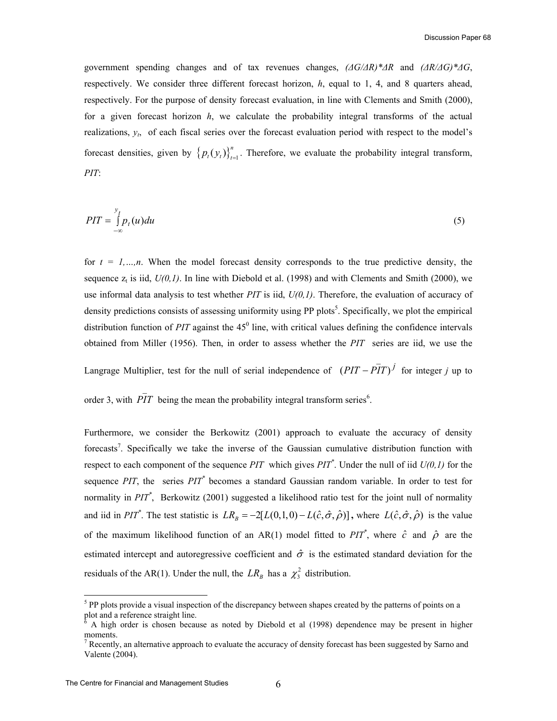government spending changes and of tax revenues changes,  $\left(\frac{\Delta G}{\Delta R}\right)^* \Delta R$  and  $\left(\frac{\Delta R}{\Delta G}\right)^* \Delta G$ , respectively. We consider three different forecast horizon, *h*, equal to 1, 4, and 8 quarters ahead, respectively. For the purpose of density forecast evaluation, in line with Clements and Smith (2000), for a given forecast horizon *h*, we calculate the probability integral transforms of the actual realizations,  $y_t$ , of each fiscal series over the forecast evaluation period with respect to the model's forecast densities, given by  $\left\{p_i(y_i)\right\}_{i=1}^n$ . Therefore, we evaluate the probability integral transform, *PIT*:

$$
PIT = \int_{-\infty}^{y_t} p_t(u) du
$$
 (5)

for  $t = 1, \ldots, n$ . When the model forecast density corresponds to the true predictive density, the sequence  $z_t$  is iid,  $U(0,1)$ . In line with Diebold et al. (1998) and with Clements and Smith (2000), we use informal data analysis to test whether *PIT* is iid, *U(0,1)*. Therefore, the evaluation of accuracy of density predictions consists of assessing uniformity using PP plots<sup>5</sup>. Specifically, we plot the empirical distribution function of  $PIT$  against the  $45^{\circ}$  line, with critical values defining the confidence intervals obtained from Miller (1956). Then, in order to assess whether the *PIT* series are iid, we use the

Langrage Multiplier, test for the null of serial independence of  $(PIT - PIT)^{j}$  $-FIT$ <sup>*j*</sup> for integer *j* up to

order 3, with  $\overline{PIT}$  being the mean the probability integral transform series<sup>6</sup>.

Furthermore, we consider the Berkowitz (2001) approach to evaluate the accuracy of density forecasts<sup>7</sup>. Specifically we take the inverse of the Gaussian cumulative distribution function with respect to each component of the sequence *PIT* which gives *PIT\** . Under the null of iid *U(0,1)* for the sequence *PIT*, the series *PIT\** becomes a standard Gaussian random variable. In order to test for normality in *PIT\** , Berkowitz (2001) suggested a likelihood ratio test for the joint null of normality and iid in *PIT*<sup>\*</sup>. The test statistic is  $LR_B = -2[L(0,1,0) - L(\hat{c}, \hat{\sigma}, \hat{\rho})]$ , where  $L(\hat{c}, \hat{\sigma}, \hat{\rho})$  is the value of the maximum likelihood function of an AR(1) model fitted to  $PIT^*$ , where  $\hat{c}$  and  $\hat{\rho}$  are the estimated intercept and autoregressive coefficient and  $\hat{\sigma}$  is the estimated standard deviation for the residuals of the AR(1). Under the null, the  $LR<sub>B</sub>$  has a  $\chi^2$  distribution.

 $\overline{\phantom{0}}$ 

<sup>&</sup>lt;sup>5</sup> PP plots provide a visual inspection of the discrepancy between shapes created by the patterns of points on a plot and a reference straight line.

<sup>6</sup> A high order is chosen because as noted by Diebold et al (1998) dependence may be present in higher moments.

 $<sup>7</sup>$  Recently, an alternative approach to evaluate the accuracy of density forecast has been suggested by Sarno and</sup> Valente (2004).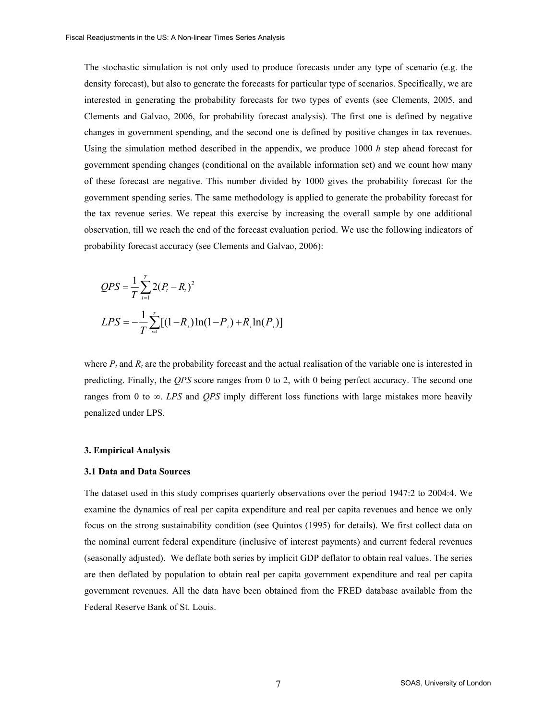The stochastic simulation is not only used to produce forecasts under any type of scenario (e.g. the density forecast), but also to generate the forecasts for particular type of scenarios. Specifically, we are interested in generating the probability forecasts for two types of events (see Clements, 2005, and Clements and Galvao, 2006, for probability forecast analysis). The first one is defined by negative changes in government spending, and the second one is defined by positive changes in tax revenues. Using the simulation method described in the appendix, we produce 1000 *h* step ahead forecast for government spending changes (conditional on the available information set) and we count how many of these forecast are negative. This number divided by 1000 gives the probability forecast for the government spending series. The same methodology is applied to generate the probability forecast for the tax revenue series. We repeat this exercise by increasing the overall sample by one additional observation, till we reach the end of the forecast evaluation period. We use the following indicators of probability forecast accuracy (see Clements and Galvao, 2006):

$$
QPS = \frac{1}{T} \sum_{t=1}^{T} 2(P_t - R_t)^2
$$
  
\n
$$
LPS = -\frac{1}{T} \sum_{t=1}^{T} [(1 - R_t) \ln(1 - P_t) + R_t \ln(P_t)]
$$

where  $P_t$  and  $R_t$  are the probability forecast and the actual realisation of the variable one is interested in predicting. Finally, the *QPS* score ranges from 0 to 2, with 0 being perfect accuracy. The second one ranges from 0 to ∞. *LPS* and *QPS* imply different loss functions with large mistakes more heavily penalized under LPS.

## **3. Empirical Analysis**

## **3.1 Data and Data Sources**

The dataset used in this study comprises quarterly observations over the period 1947:2 to 2004:4. We examine the dynamics of real per capita expenditure and real per capita revenues and hence we only focus on the strong sustainability condition (see Quintos (1995) for details). We first collect data on the nominal current federal expenditure (inclusive of interest payments) and current federal revenues (seasonally adjusted). We deflate both series by implicit GDP deflator to obtain real values. The series are then deflated by population to obtain real per capita government expenditure and real per capita government revenues. All the data have been obtained from the FRED database available from the Federal Reserve Bank of St. Louis.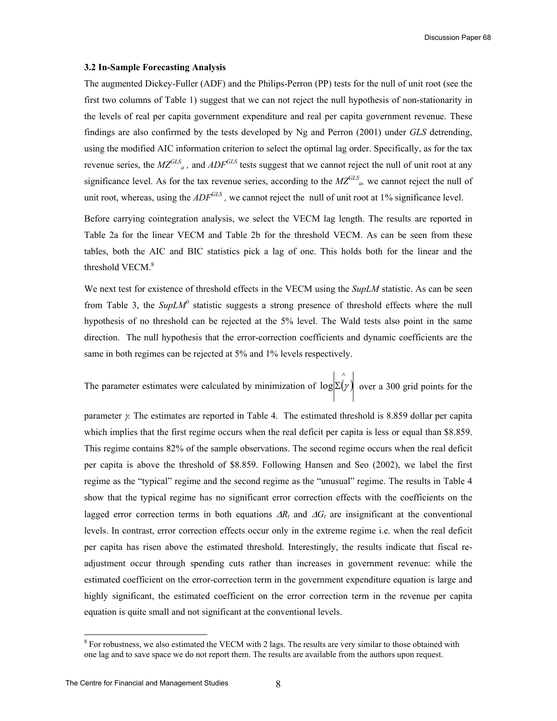#### **3.2 In-Sample Forecasting Analysis**

The augmented Dickey-Fuller (ADF) and the Philips-Perron (PP) tests for the null of unit root (see the first two columns of Table 1) suggest that we can not reject the null hypothesis of non-stationarity in the levels of real per capita government expenditure and real per capita government revenue. These findings are also confirmed by the tests developed by Ng and Perron (2001) under *GLS* detrending, using the modified AIC information criterion to select the optimal lag order. Specifically, as for the tax revenue series, the  $MZ^{GLS}$ <sub>a</sub>, and  $ADF^{GLS}$  tests suggest that we cannot reject the null of unit root at any significance level. As for the tax revenue series, according to the  $MZ^{GLS}$ <sub>a</sub>, we cannot reject the null of unit root, whereas, using the *ADF<sup>GLS</sup>*, we cannot reject the null of unit root at 1% significance level.

Before carrying cointegration analysis, we select the VECM lag length. The results are reported in Table 2a for the linear VECM and Table 2b for the threshold VECM. As can be seen from these tables, both the AIC and BIC statistics pick a lag of one. This holds both for the linear and the threshold VECM.<sup>8</sup>

We next test for existence of threshold effects in the VECM using the *SupLM* statistic. As can be seen from Table 3, the  $\mathit{SupLM}^0$  statistic suggests a strong presence of threshold effects where the null hypothesis of no threshold can be rejected at the 5% level. The Wald tests also point in the same direction. The null hypothesis that the error-correction coefficients and dynamic coefficients are the same in both regimes can be rejected at 5% and 1% levels respectively.

The parameter estimates were calculated by minimization of  $log \Sigma(\gamma)$  $\hat{\cdot}$  $log \Sigma(\gamma)$  over a 300 grid points for the

parameter γ*.* The estimates are reported in Table 4. The estimated threshold is 8.859 dollar per capita which implies that the first regime occurs when the real deficit per capita is less or equal than \$8.859. This regime contains 82% of the sample observations. The second regime occurs when the real deficit per capita is above the threshold of \$8.859. Following Hansen and Seo (2002), we label the first regime as the "typical" regime and the second regime as the "unusual" regime. The results in Table 4 show that the typical regime has no significant error correction effects with the coefficients on the lagged error correction terms in both equations  $\Delta R_t$  and  $\Delta G_t$  are insignificant at the conventional levels. In contrast, error correction effects occur only in the extreme regime i.e. when the real deficit per capita has risen above the estimated threshold. Interestingly, the results indicate that fiscal readjustment occur through spending cuts rather than increases in government revenue: while the estimated coefficient on the error-correction term in the government expenditure equation is large and highly significant, the estimated coefficient on the error correction term in the revenue per capita equation is quite small and not significant at the conventional levels.

-

<sup>&</sup>lt;sup>8</sup> For robustness, we also estimated the VECM with 2 lags. The results are very similar to those obtained with one lag and to save space we do not report them. The results are available from the authors upon request.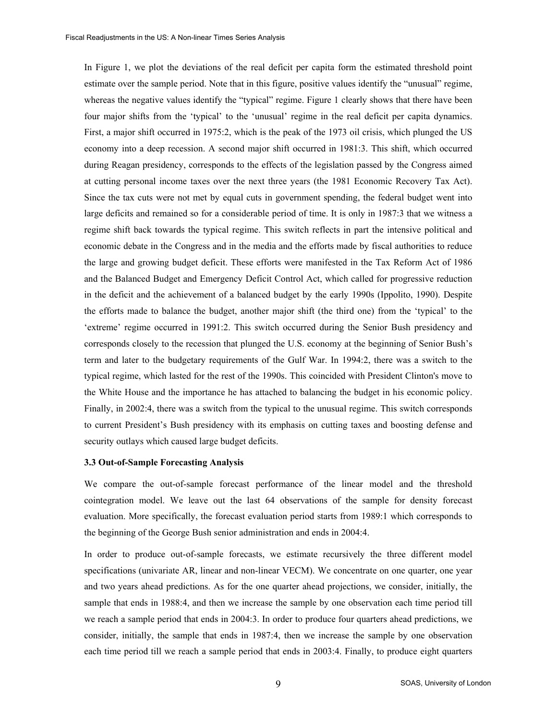In Figure 1, we plot the deviations of the real deficit per capita form the estimated threshold point estimate over the sample period. Note that in this figure, positive values identify the "unusual" regime, whereas the negative values identify the "typical" regime. Figure 1 clearly shows that there have been four major shifts from the 'typical' to the 'unusual' regime in the real deficit per capita dynamics. First, a major shift occurred in 1975:2, which is the peak of the 1973 oil crisis, which plunged the US economy into a deep recession. A second major shift occurred in 1981:3. This shift, which occurred during Reagan presidency, corresponds to the effects of the legislation passed by the Congress aimed at cutting personal income taxes over the next three years (the 1981 Economic Recovery Tax Act). Since the tax cuts were not met by equal cuts in government spending, the federal budget went into large deficits and remained so for a considerable period of time. It is only in 1987:3 that we witness a regime shift back towards the typical regime. This switch reflects in part the intensive political and economic debate in the Congress and in the media and the efforts made by fiscal authorities to reduce the large and growing budget deficit. These efforts were manifested in the Tax Reform Act of 1986 and the Balanced Budget and Emergency Deficit Control Act, which called for progressive reduction in the deficit and the achievement of a balanced budget by the early 1990s (Ippolito, 1990). Despite the efforts made to balance the budget, another major shift (the third one) from the 'typical' to the 'extreme' regime occurred in 1991:2. This switch occurred during the Senior Bush presidency and corresponds closely to the recession that plunged the U.S. economy at the beginning of Senior Bush's term and later to the budgetary requirements of the Gulf War. In 1994:2, there was a switch to the typical regime, which lasted for the rest of the 1990s. This coincided with President Clinton's move to the White House and the importance he has attached to balancing the budget in his economic policy. Finally, in 2002:4, there was a switch from the typical to the unusual regime. This switch corresponds to current President's Bush presidency with its emphasis on cutting taxes and boosting defense and security outlays which caused large budget deficits.

#### **3.3 Out-of-Sample Forecasting Analysis**

We compare the out-of-sample forecast performance of the linear model and the threshold cointegration model. We leave out the last 64 observations of the sample for density forecast evaluation. More specifically, the forecast evaluation period starts from 1989:1 which corresponds to the beginning of the George Bush senior administration and ends in 2004:4.

In order to produce out-of-sample forecasts, we estimate recursively the three different model specifications (univariate AR, linear and non-linear VECM). We concentrate on one quarter, one year and two years ahead predictions. As for the one quarter ahead projections, we consider, initially, the sample that ends in 1988:4, and then we increase the sample by one observation each time period till we reach a sample period that ends in 2004:3. In order to produce four quarters ahead predictions, we consider, initially, the sample that ends in 1987:4, then we increase the sample by one observation each time period till we reach a sample period that ends in 2003:4. Finally, to produce eight quarters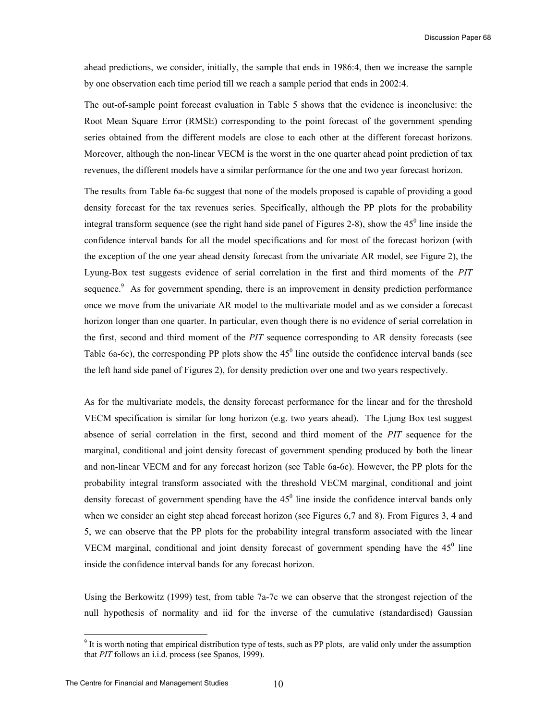ahead predictions, we consider, initially, the sample that ends in 1986:4, then we increase the sample by one observation each time period till we reach a sample period that ends in 2002:4.

The out-of-sample point forecast evaluation in Table 5 shows that the evidence is inconclusive: the Root Mean Square Error (RMSE) corresponding to the point forecast of the government spending series obtained from the different models are close to each other at the different forecast horizons. Moreover, although the non-linear VECM is the worst in the one quarter ahead point prediction of tax revenues, the different models have a similar performance for the one and two year forecast horizon.

The results from Table 6a-6c suggest that none of the models proposed is capable of providing a good density forecast for the tax revenues series. Specifically, although the PP plots for the probability integral transform sequence (see the right hand side panel of Figures 2-8), show the  $45^{\circ}$  line inside the confidence interval bands for all the model specifications and for most of the forecast horizon (with the exception of the one year ahead density forecast from the univariate AR model, see Figure 2), the Lyung-Box test suggests evidence of serial correlation in the first and third moments of the *PIT* sequence.<sup>9</sup> As for government spending, there is an improvement in density prediction performance once we move from the univariate AR model to the multivariate model and as we consider a forecast horizon longer than one quarter. In particular, even though there is no evidence of serial correlation in the first, second and third moment of the *PIT* sequence corresponding to AR density forecasts (see Table 6a-6c), the corresponding PP plots show the  $45^{\circ}$  line outside the confidence interval bands (see the left hand side panel of Figures 2), for density prediction over one and two years respectively.

As for the multivariate models, the density forecast performance for the linear and for the threshold VECM specification is similar for long horizon (e.g. two years ahead). The Ljung Box test suggest absence of serial correlation in the first, second and third moment of the *PIT* sequence for the marginal, conditional and joint density forecast of government spending produced by both the linear and non-linear VECM and for any forecast horizon (see Table 6a-6c). However, the PP plots for the probability integral transform associated with the threshold VECM marginal, conditional and joint density forecast of government spending have the  $45^{\circ}$  line inside the confidence interval bands only when we consider an eight step ahead forecast horizon (see Figures 6,7 and 8). From Figures 3, 4 and 5, we can observe that the PP plots for the probability integral transform associated with the linear VECM marginal, conditional and joint density forecast of government spending have the  $45^\circ$  line inside the confidence interval bands for any forecast horizon.

Using the Berkowitz (1999) test, from table 7a-7c we can observe that the strongest rejection of the null hypothesis of normality and iid for the inverse of the cumulative (standardised) Gaussian

-

<sup>&</sup>lt;sup>9</sup> It is worth noting that empirical distribution type of tests, such as PP plots, are valid only under the assumption that *PIT* follows an i.i.d. process (see Spanos, 1999).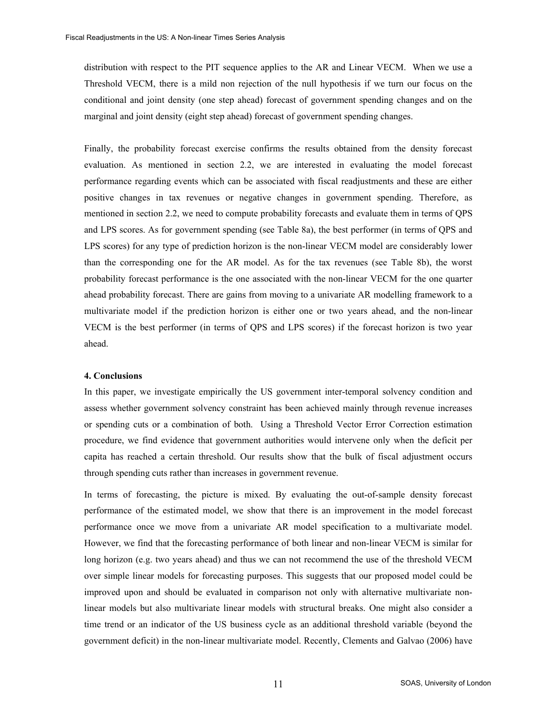distribution with respect to the PIT sequence applies to the AR and Linear VECM. When we use a Threshold VECM, there is a mild non rejection of the null hypothesis if we turn our focus on the conditional and joint density (one step ahead) forecast of government spending changes and on the marginal and joint density (eight step ahead) forecast of government spending changes.

Finally, the probability forecast exercise confirms the results obtained from the density forecast evaluation. As mentioned in section 2.2, we are interested in evaluating the model forecast performance regarding events which can be associated with fiscal readjustments and these are either positive changes in tax revenues or negative changes in government spending. Therefore, as mentioned in section 2.2, we need to compute probability forecasts and evaluate them in terms of QPS and LPS scores. As for government spending (see Table 8a), the best performer (in terms of QPS and LPS scores) for any type of prediction horizon is the non-linear VECM model are considerably lower than the corresponding one for the AR model. As for the tax revenues (see Table 8b), the worst probability forecast performance is the one associated with the non-linear VECM for the one quarter ahead probability forecast. There are gains from moving to a univariate AR modelling framework to a multivariate model if the prediction horizon is either one or two years ahead, and the non-linear VECM is the best performer (in terms of QPS and LPS scores) if the forecast horizon is two year ahead.

## **4. Conclusions**

In this paper, we investigate empirically the US government inter-temporal solvency condition and assess whether government solvency constraint has been achieved mainly through revenue increases or spending cuts or a combination of both. Using a Threshold Vector Error Correction estimation procedure, we find evidence that government authorities would intervene only when the deficit per capita has reached a certain threshold. Our results show that the bulk of fiscal adjustment occurs through spending cuts rather than increases in government revenue.

In terms of forecasting, the picture is mixed. By evaluating the out-of-sample density forecast performance of the estimated model, we show that there is an improvement in the model forecast performance once we move from a univariate AR model specification to a multivariate model. However, we find that the forecasting performance of both linear and non-linear VECM is similar for long horizon (e.g. two years ahead) and thus we can not recommend the use of the threshold VECM over simple linear models for forecasting purposes. This suggests that our proposed model could be improved upon and should be evaluated in comparison not only with alternative multivariate nonlinear models but also multivariate linear models with structural breaks. One might also consider a time trend or an indicator of the US business cycle as an additional threshold variable (beyond the government deficit) in the non-linear multivariate model. Recently, Clements and Galvao (2006) have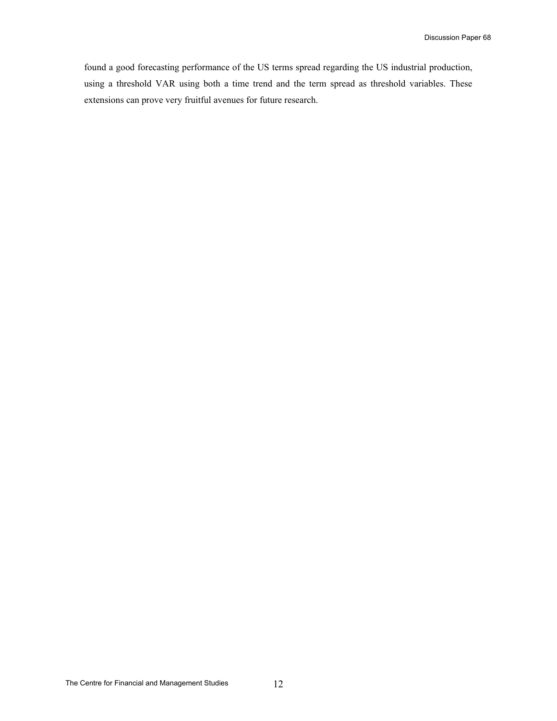found a good forecasting performance of the US terms spread regarding the US industrial production, using a threshold VAR using both a time trend and the term spread as threshold variables. These extensions can prove very fruitful avenues for future research.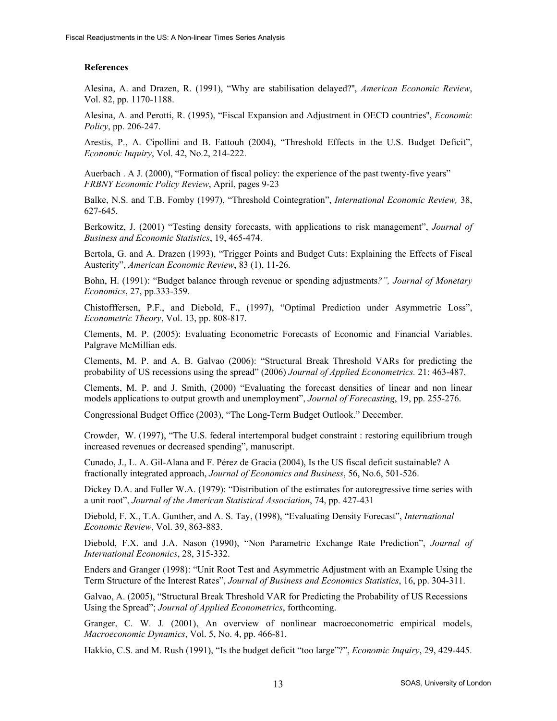## **References**

Alesina, A. and Drazen, R. (1991), "Why are stabilisation delayed?'', *American Economic Review*, Vol. 82, pp. 1170-1188.

Alesina, A. and Perotti, R. (1995), "Fiscal Expansion and Adjustment in OECD countries'', *Economic Policy*, pp. 206-247.

Arestis, P., A. Cipollini and B. Fattouh (2004), "Threshold Effects in the U.S. Budget Deficit", *Economic Inquiry*, Vol. 42, No.2, 214-222.

Auerbach . A J. (2000), "Formation of fiscal policy: the experience of the past twenty-five years" *FRBNY Economic Policy Review*, April, pages 9-23

Balke, N.S. and T.B. Fomby (1997), "Threshold Cointegration", *International Economic Review,* 38, 627-645.

Berkowitz, J. (2001) "Testing density forecasts, with applications to risk management", *Journal of Business and Economic Statistics*, 19, 465-474.

Bertola, G. and A. Drazen (1993), "Trigger Points and Budget Cuts: Explaining the Effects of Fiscal Austerity", *American Economic Review*, 83 (1), 11-26.

Bohn, H. (1991): "Budget balance through revenue or spending adjustments*?", Journal of Monetary Economics*, 27, pp.333-359.

Chistofffersen, P.F., and Diebold, F., (1997), "Optimal Prediction under Asymmetric Loss", *Econometric Theory*, Vol. 13, pp. 808-817.

Clements, M. P. (2005): Evaluating Econometric Forecasts of Economic and Financial Variables. Palgrave McMillian eds.

Clements, M. P. and A. B. Galvao (2006): "Structural Break Threshold VARs for predicting the probability of US recessions using the spread" (2006) *Journal of Applied Econometrics.* 21: 463-487.

Clements, M. P. and J. Smith, (2000) "Evaluating the forecast densities of linear and non linear models applications to output growth and unemployment", *Journal of Forecasting*, 19, pp. 255-276.

Congressional Budget Office (2003), "The Long-Term Budget Outlook." December.

Crowder, W. (1997), "The U.S. federal intertemporal budget constraint : restoring equilibrium trough increased revenues or decreased spending", manuscript.

Cunado, J., L. A. Gil-Alana and F. Pérez de Gracia (2004), Is the US fiscal deficit sustainable? A fractionally integrated approach, *Journal of Economics and Business*, 56, No.6, 501-526.

Dickey D.A. and Fuller W.A. (1979): "Distribution of the estimates for autoregressive time series with a unit root", *Journal of the American Statistical Association*, 74, pp. 427-431

Diebold, F. X., T.A. Gunther, and A. S. Tay, (1998), "Evaluating Density Forecast", *International Economic Review*, Vol. 39, 863-883.

Diebold, F.X. and J.A. Nason (1990), "Non Parametric Exchange Rate Prediction", *Journal of International Economics*, 28, 315-332.

Enders and Granger (1998): "Unit Root Test and Asymmetric Adjustment with an Example Using the Term Structure of the Interest Rates", *Journal of Business and Economics Statistics*, 16, pp. 304-311.

Galvao, A. (2005), "Structural Break Threshold VAR for Predicting the Probability of US Recessions Using the Spread"; *Journal of Applied Econometrics*, forthcoming.

Granger, C. W. J. (2001), An overview of nonlinear macroeconometric empirical models, *Macroeconomic Dynamics*, Vol. 5, No. 4, pp. 466-81.

Hakkio, C.S. and M. Rush (1991), "Is the budget deficit "too large"?", *Economic Inquiry*, 29, 429-445.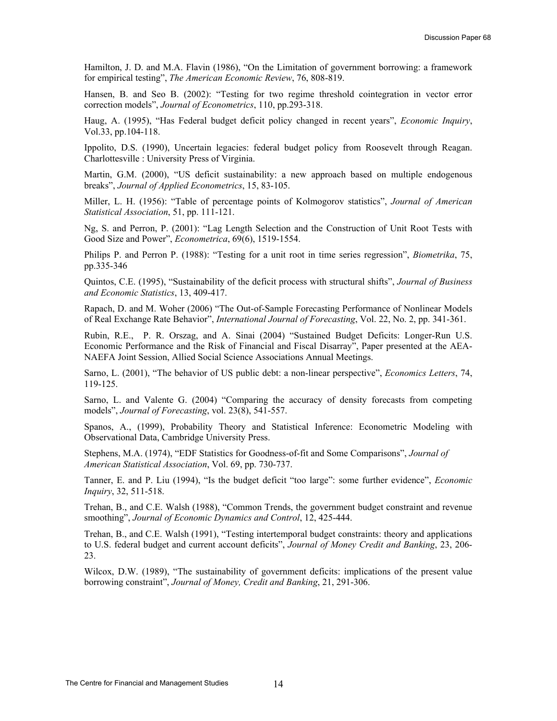Hamilton, J. D. and M.A. Flavin (1986), "On the Limitation of government borrowing: a framework for empirical testing", *The American Economic Review*, 76, 808-819.

Hansen, B. and Seo B. (2002): "Testing for two regime threshold cointegration in vector error correction models", *Journal of Econometrics*, 110, pp.293-318.

Haug, A. (1995), "Has Federal budget deficit policy changed in recent years", *Economic Inquiry*, Vol.33, pp.104-118.

Ippolito, D.S. (1990), Uncertain legacies: federal budget policy from Roosevelt through Reagan. Charlottesville : University Press of Virginia.

Martin, G.M. (2000), "US deficit sustainability: a new approach based on multiple endogenous breaks", *Journal of Applied Econometrics*, 15, 83-105.

Miller, L. H. (1956): "Table of percentage points of Kolmogorov statistics", *Journal of American Statistical Association*, 51, pp. 111-121.

Ng, S. and Perron, P. (2001): "Lag Length Selection and the Construction of Unit Root Tests with Good Size and Power", *Econometrica*, 69(6), 1519-1554.

Philips P. and Perron P. (1988): "Testing for a unit root in time series regression", *Biometrika*, 75, pp.335-346

Quintos, C.E. (1995), "Sustainability of the deficit process with structural shifts", *Journal of Business and Economic Statistics*, 13, 409-417.

Rapach, D. and M. Woher (2006) "The Out-of-Sample Forecasting Performance of Nonlinear Models of Real Exchange Rate Behavior", *International Journal of Forecasting*, Vol. 22, No. 2, pp. 341-361.

Rubin, R.E., P. R. Orszag, and A. Sinai (2004) "Sustained Budget Deficits: Longer-Run U.S. Economic Performance and the Risk of Financial and Fiscal Disarray", Paper presented at the AEA-NAEFA Joint Session, Allied Social Science Associations Annual Meetings.

Sarno, L. (2001), "The behavior of US public debt: a non-linear perspective", *Economics Letters*, 74, 119-125.

Sarno, L. and Valente G. (2004) "Comparing the accuracy of density forecasts from competing models", *Journal of Forecasting*, vol. 23(8), 541-557.

Spanos, A., (1999), Probability Theory and Statistical Inference: Econometric Modeling with Observational Data, Cambridge University Press.

Stephens, M.A. (1974), "EDF Statistics for Goodness-of-fit and Some Comparisons", *Journal of American Statistical Association*, Vol. 69, pp. 730-737.

Tanner, E. and P. Liu (1994), "Is the budget deficit "too large": some further evidence", *Economic Inquiry*, 32, 511-518.

Trehan, B., and C.E. Walsh (1988), "Common Trends, the government budget constraint and revenue smoothing", *Journal of Economic Dynamics and Control*, 12, 425-444.

Trehan, B., and C.E. Walsh (1991), "Testing intertemporal budget constraints: theory and applications to U.S. federal budget and current account deficits", *Journal of Money Credit and Banking*, 23, 206- 23.

Wilcox, D.W. (1989), "The sustainability of government deficits: implications of the present value borrowing constraint", *Journal of Money, Credit and Banking*, 21, 291-306.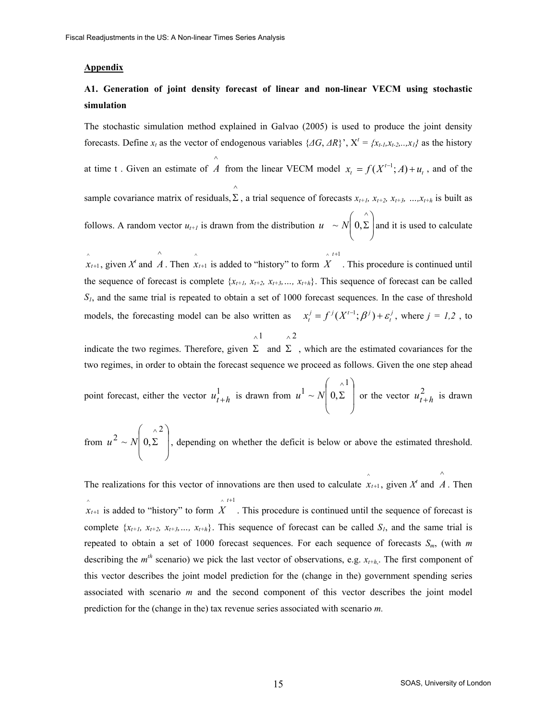## **Appendix**

# **A1. Generation of joint density forecast of linear and non-linear VECM using stochastic simulation**

The stochastic simulation method explained in Galvao (2005) is used to produce the joint density forecasts. Define  $x_t$  as the vector of endogenous variables  $\{AG, AR\}$ ,  $X^t = \{x_{t-1}, x_{t-2},...,x_{1}\}$  as the history at time t . Given an estimate of  $\wedge$ *A* from the linear VECM model  $x_t = f(X^{t-1}; A) + u_t$ , and of the sample covariance matrix of residuals,  $\Sigma$ , a trial sequence of forecasts  $x_{t+1}$ ,  $x_{t+2}$ ,  $x_{t+3}$ , ..., $x_{t+h}$  is built as  $\wedge$ follows. A random vector  $u_{t+1}$  is drawn from the distribution  $u \sim N\left(0, \Sigma\right)$ J  $\backslash$  $\overline{\phantom{a}}$  $\setminus$ ſ Σ  $\wedge$  $u \sim N | 0, \Sigma |$  and it is used to calculate

 $\hat{x}_{t+1}$ , given  $X^t$  and  $\hat{A}$ . Then  $\hat{x}_{t+1}$  is added to "history" to form  $\wedge$   $t+1$ *X* . This procedure is continued until the sequence of forecast is complete  $\{x_{t+1}, x_{t+2}, x_{t+3}, \ldots, x_{t+h}\}$ . This sequence of forecast can be called *S1*, and the same trial is repeated to obtain a set of 1000 forecast sequences. In the case of threshold models, the forecasting model can be also written as  $x_t^j = f^j(X^{t-1}; \beta^j) + \varepsilon_t^j$ , where  $j = 1,2$ , to

+

$$
\wedge 1 \qquad \wedge 2
$$

indicate the two regimes. Therefore, given  $\Sigma$  and  $\Sigma$ , which are the estimated covariances for the two regimes, in order to obtain the forecast sequence we proceed as follows. Given the one step ahead

point forecast, either the vector 
$$
u_{t+h}^1
$$
 is drawn from  $u^1 \sim N\left(0, \sum_{k=1}^{\infty} \right)$  or the vector  $u_{t+h}^2$  is drawn

from  $u^2 \sim N \left| 0, \Sigma \right|$ J  $\backslash$  $\mathbf{r}$  $\mathbf{I}$  $\setminus$ ſ  $u^2 \sim N\left( \frac{x^2}{2} \right)$ , depending on whether the deficit is below or above the estimated threshold.

The realizations for this vector of innovations are then used to calculate  $\hat{x}_{t+1}$ , given  $X^t$  and  $\wedge$ *A* . Then  $\hat{x}_{t+1}$  is added to "history" to form  $\hat{X}$ . This procedure is continued until the sequence of forecast is  $\wedge$   $t+1$ complete  $\{x_{t+1}, x_{t+2}, x_{t+3}, \ldots, x_{t+h}\}$ . This sequence of forecast can be called  $S_t$ , and the same trial is repeated to obtain a set of 1000 forecast sequences. For each sequence of forecasts *Sm*, (with *m* describing the  $m<sup>th</sup>$  scenario) we pick the last vector of observations, e.g.  $x<sub>t+h</sub>$ . The first component of this vector describes the joint model prediction for the (change in the) government spending series associated with scenario *m* and the second component of this vector describes the joint model prediction for the (change in the) tax revenue series associated with scenario *m.*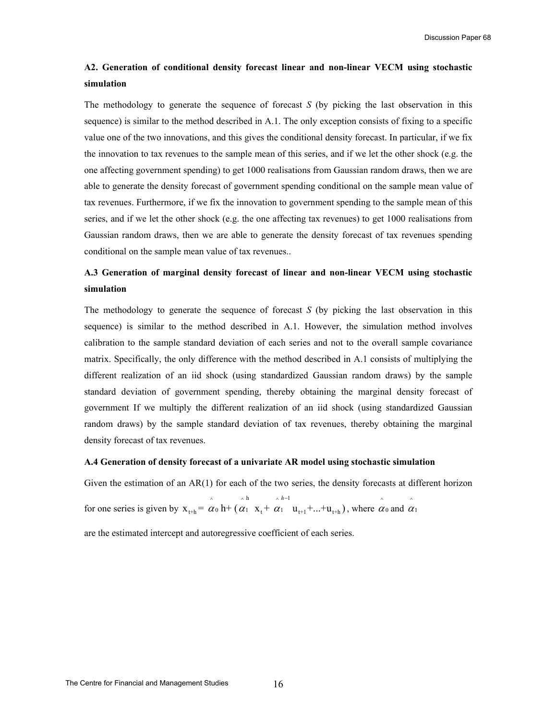# **A2. Generation of conditional density forecast linear and non-linear VECM using stochastic simulation**

The methodology to generate the sequence of forecast *S* (by picking the last observation in this sequence) is similar to the method described in A.1. The only exception consists of fixing to a specific value one of the two innovations, and this gives the conditional density forecast. In particular, if we fix the innovation to tax revenues to the sample mean of this series, and if we let the other shock (e.g. the one affecting government spending) to get 1000 realisations from Gaussian random draws, then we are able to generate the density forecast of government spending conditional on the sample mean value of tax revenues. Furthermore, if we fix the innovation to government spending to the sample mean of this series, and if we let the other shock (e.g. the one affecting tax revenues) to get 1000 realisations from Gaussian random draws, then we are able to generate the density forecast of tax revenues spending conditional on the sample mean value of tax revenues..

# **A.3 Generation of marginal density forecast of linear and non-linear VECM using stochastic simulation**

The methodology to generate the sequence of forecast *S* (by picking the last observation in this sequence) is similar to the method described in A.1. However, the simulation method involves calibration to the sample standard deviation of each series and not to the overall sample covariance matrix. Specifically, the only difference with the method described in A.1 consists of multiplying the different realization of an iid shock (using standardized Gaussian random draws) by the sample standard deviation of government spending, thereby obtaining the marginal density forecast of government If we multiply the different realization of an iid shock (using standardized Gaussian random draws) by the sample standard deviation of tax revenues, thereby obtaining the marginal density forecast of tax revenues.

## **A.4 Generation of density forecast of a univariate AR model using stochastic simulation**

Given the estimation of an AR(1) for each of the two series, the density forecasts at different horizon

for one series is given by  $\wedge$   $\wedge$   $\wedge$   $\wedge$   $h$   $\wedge$   $h$   $\wedge$   $h$   $\wedge$  $x_{t+h} = \alpha_0 h + (\alpha_1 x_t + \alpha_1 u_{t+1} + ... + u_{t+h})$ *h*  $\alpha_0$  h+ ( $\alpha_1$  x, +  $\alpha$  $\alpha_0$ <sup>-1</sup> u<sub>t+1</sub>+...+u<sub>t+h</sub>), where  $\alpha_0$  and  $\alpha_1$ 

are the estimated intercept and autoregressive coefficient of each series.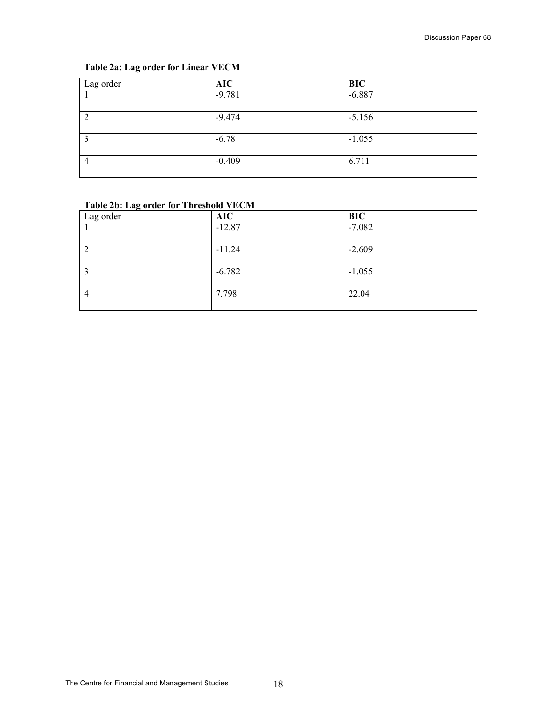# **Table 2a: Lag order for Linear VECM**

| Lag order      | <b>AIC</b> | <b>BIC</b> |
|----------------|------------|------------|
|                | $-9.781$   | $-6.887$   |
|                | $-9.474$   | $-5.156$   |
|                |            |            |
|                | $-6.78$    | $-1.055$   |
|                |            |            |
| $\overline{4}$ | $-0.409$   | 6.711      |
|                |            |            |

# **Table 2b: Lag order for Threshold VECM**

| Lag order | <b>AIC</b> | <b>BIC</b> |
|-----------|------------|------------|
|           | $-12.87$   | $-7.082$   |
|           | $-11.24$   | $-2.609$   |
|           | $-6.782$   | $-1.055$   |
| 4         | 7.798      | 22.04      |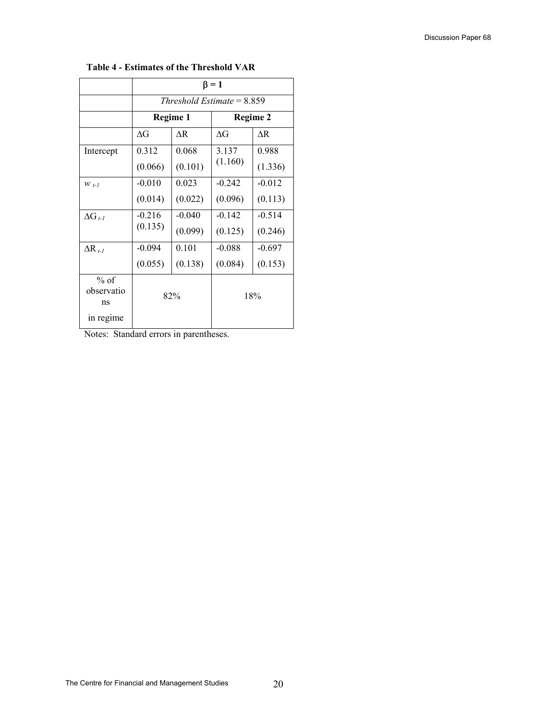|                            | $\beta = 1$ |          |                              |          |
|----------------------------|-------------|----------|------------------------------|----------|
|                            |             |          | Threshold Estimate = $8.859$ |          |
|                            |             | Regime 1 | <b>Regime 2</b>              |          |
|                            | ΛG          | ΛR       | ΛG                           | ΛR       |
| Intercept                  | 0.312       | 0.068    | 3.137                        | 0.988    |
|                            | (0.066)     | (0.101)  | (1.160)                      | (1.336)  |
| $W_{t-1}$                  | $-0.010$    | 0.023    | $-0.242$                     | $-0.012$ |
|                            | (0.014)     | (0.022)  | (0.096)                      | (0.113)  |
| $\Delta G_{t-1}$           | $-0.216$    | $-0.040$ | $-0.142$                     | $-0.514$ |
|                            | (0.135)     | (0.099)  | (0.125)                      | (0.246)  |
| $\Delta R_{t-1}$           | $-0.094$    | 0.101    | $-0.088$                     | $-0.697$ |
|                            | (0.055)     | (0.138)  | (0.084)                      | (0.153)  |
| $%$ of<br>observatio<br>ns | 82%         |          |                              | 18%      |
| in regime                  |             |          |                              |          |

# **Table 4 - Estimates of the Threshold VAR**

Notes: Standard errors in parentheses.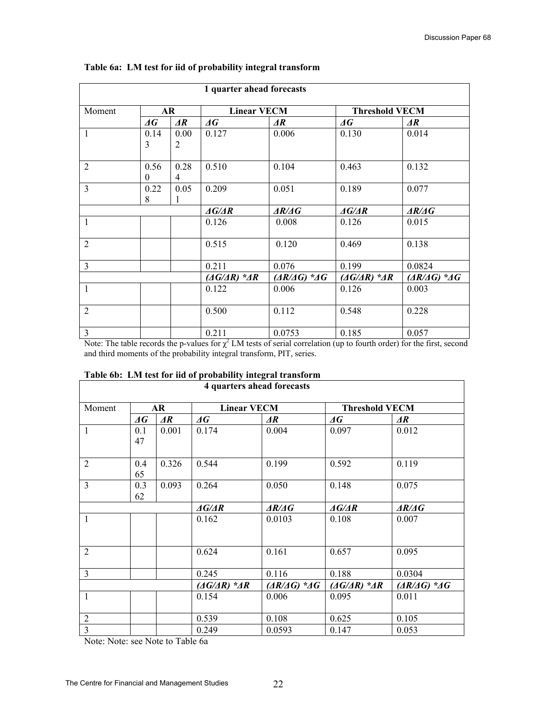| 1 quarter ahead forecasts |                          |                 |                                    |                  |                                    |                  |
|---------------------------|--------------------------|-----------------|------------------------------------|------------------|------------------------------------|------------------|
| Moment                    |                          | AR              | <b>Linear VECM</b>                 |                  | <b>Threshold VECM</b>              |                  |
|                           | $\boldsymbol{\varDelta}$ | $\overline{AR}$ | $\varDelta G$                      | $\overline{AR}$  | $\varDelta G$                      | $\overline{AR}$  |
| $\mathbf{1}$              | 0.14                     | 0.00            | 0.127                              | 0.006            | 0.130                              | 0.014            |
|                           | 3                        | $\overline{2}$  |                                    |                  |                                    |                  |
|                           |                          |                 |                                    |                  |                                    |                  |
| 2                         | 0.56                     | 0.28            | 0.510                              | 0.104            | 0.463                              | 0.132            |
|                           | $\theta$                 | 4               |                                    |                  |                                    |                  |
| $\overline{3}$            | 0.22                     | 0.05            | 0.209                              | 0.051            | 0.189                              | 0.077            |
|                           | 8                        | 1               |                                    |                  |                                    |                  |
|                           |                          |                 | $\triangle G/\triangle R$          | AR/AG            | $\triangle G/\triangle R$          | AR/AG            |
| 1                         |                          |                 | 0.126                              | 0.008            | 0.126                              | 0.015            |
| $\overline{2}$            |                          |                 | 0.515                              | 0.120            | 0.469                              | 0.138            |
|                           |                          |                 |                                    |                  |                                    |                  |
| $\overline{3}$            |                          |                 | 0.211                              | 0.076            | 0.199                              | 0.0824           |
|                           |                          |                 | $(\Delta G/\Delta R)$ * $\Delta R$ | $(AR/AG)$ * $AG$ | $(\Delta G/\Delta R)$ * $\Delta R$ | $(AR/AG)$ * $AG$ |
| $\mathbf{1}$              |                          |                 | 0.122                              | 0.006            | 0.126                              | 0.003            |
|                           |                          |                 |                                    |                  |                                    |                  |
| $\overline{2}$            |                          |                 | 0.500                              | 0.112            | 0.548                              | 0.228            |
| $\overline{3}$            |                          |                 | 0.211                              | 0.0753           | 0.185                              | 0.057            |

# **Table 6a: LM test for iid of probability integral transform**

Note: The table records the p-values for  $\chi^2$  LM tests of serial correlation (up to fourth order) for the first, second and third moments of the probability integral transform, PIT, series.

|  | Table 6b: LM test for iid of probability integral transform |
|--|-------------------------------------------------------------|
|  |                                                             |

| 4 quarters ahead forecasts |               |                                    |                                                         |                                    |                           |                       |
|----------------------------|---------------|------------------------------------|---------------------------------------------------------|------------------------------------|---------------------------|-----------------------|
| Moment                     | AR            |                                    |                                                         | <b>Linear VECM</b>                 |                           | <b>Threshold VECM</b> |
|                            | $\varDelta G$ | $\overline{AR}$                    | $\varDelta G$                                           | $\overline{AR}$                    | $\varDelta G$             | $\overline{AR}$       |
| 1                          | 0.1<br>47     | 0.001                              | 0.174                                                   | 0.004                              | 0.097                     | 0.012                 |
| $\overline{2}$             | 0.4<br>65     | 0.326                              | 0.544                                                   | 0.199                              | 0.592                     | 0.119                 |
| 3                          | 0.3<br>62     | 0.093                              | 0.264                                                   | 0.050                              | 0.148                     | 0.075                 |
|                            |               |                                    | $\triangle G/\triangle R$                               | $\triangle A\angle A$              | $\triangle G/\triangle R$ | $\triangle A\angle A$ |
| 1                          |               |                                    | 0.162                                                   | 0.0103                             | 0.108                     | 0.007                 |
| $\overline{2}$             |               |                                    | 0.624                                                   | 0.161                              | 0.657                     | 0.095                 |
| 3                          |               |                                    | 0.245                                                   | 0.116                              | 0.188                     | 0.0304                |
|                            |               | $(\Delta G/\Delta R)$ * $\Delta R$ | $\left( \frac{\Delta R}{\Delta G} \right)$ * $\Delta G$ | $(\Delta G/\Delta R)$ * $\Delta R$ | $(AR/AG)$ * $AG$          |                       |
| 1                          |               |                                    | 0.154                                                   | 0.006                              | 0.095                     | 0.011                 |
| $\overline{2}$             |               |                                    | 0.539                                                   | 0.108                              | 0.625                     | 0.105                 |
| $\overline{3}$             |               |                                    | 0.249                                                   | 0.0593                             | 0.147                     | 0.053                 |

Note: Note: see Note to Table 6a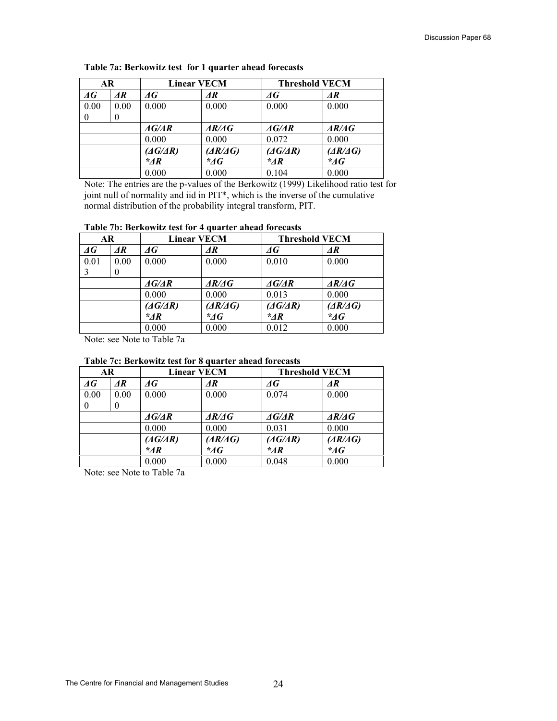| AR            |                 | <b>Linear VECM</b>        |                       |                             | <b>Threshold VECM</b> |
|---------------|-----------------|---------------------------|-----------------------|-----------------------------|-----------------------|
| $\varDelta G$ | $\overline{AR}$ | AG                        | ΔR                    | ΔG                          | $\overline{AR}$       |
| 0.00          | 0.00            | 0.000                     | 0.000                 | 0.000                       | 0.000                 |
| $\theta$      | 0               |                           |                       |                             |                       |
|               |                 | $\triangle G/\triangle R$ | $\triangle A\angle A$ | $\triangle G/\triangle R$   | AR/AG                 |
|               |                 | 0.000                     | 0.000                 | 0.072                       | 0.000                 |
|               |                 | $(\Delta G/\Delta R)$     | (AR/AG)               | $(\triangle G/\triangle R)$ | (AR/AG)               |
|               |                 | $*_{AR}$                  | $\mathcal{A}G$        | $^*AR$                      | $\mathscr{A}G$        |
|               |                 | 0.000                     | 0.000                 | 0.104                       | 0.000                 |

**Table 7a: Berkowitz test for 1 quarter ahead forecasts** 

Note: The entries are the p-values of the Berkowitz (1999) Likelihood ratio test for joint null of normality and iid in PIT\*, which is the inverse of the cumulative normal distribution of the probability integral transform, PIT.

# **Table 7b: Berkowitz test for 4 quarter ahead forecasts**

| <b>AR</b>     |                 | <b>Linear VECM</b>        |                                          | <b>Threshold VECM</b>       |                          |
|---------------|-----------------|---------------------------|------------------------------------------|-----------------------------|--------------------------|
| $\varDelta G$ | $\overline{AR}$ | AG                        | $\overline{AR}$                          | $\varDelta G$               | $\overline{AR}$          |
| 0.01          | 0.00            | 0.000                     | 0.000                                    | 0.010                       | 0.000                    |
| 3             |                 |                           |                                          |                             |                          |
|               |                 | $\triangle G/\triangle R$ | $\triangle R/\triangle G$                | AG/AR                       | $\triangle A\triangle A$ |
|               |                 | 0.000                     | 0.000                                    | 0.013                       | 0.000                    |
|               |                 | $(\Delta G/\Delta R)$     | $\left(\frac{\Delta R}{\Delta G}\right)$ | $(\triangle G/\triangle R)$ | (AR/AG)                  |
|               |                 | $*$ AR                    | $\mathcal{A}G$                           | $^*AR$                      | $\mathcal{A}G$           |
|               |                 | 0.000                     | 0.000                                    | 0.012                       | 0.000                    |

Note: see Note to Table 7a

## **Table 7c: Berkowitz test for 8 quarter ahead forecasts**

| <b>AR</b>     |                 | <b>Linear VECM</b>          |                                          | <b>Threshold VECM</b>     |                                              |
|---------------|-----------------|-----------------------------|------------------------------------------|---------------------------|----------------------------------------------|
| $\varDelta G$ | $\overline{AR}$ | ΔG                          | AR                                       | AG                        | $\overline{\mathbf{A}}\overline{\mathbf{R}}$ |
| 0.00          | 0.00            | 0.000                       | 0.000                                    | 0.074                     | 0.000                                        |
| $\theta$      | 0               |                             |                                          |                           |                                              |
|               |                 | $\triangle G/\triangle R$   | $\triangle R/\triangle G$                | $\triangle G/\triangle R$ | AR/AG                                        |
|               |                 | 0.000                       | 0.000                                    | 0.031                     | 0.000                                        |
|               |                 | $(\triangle G/\triangle R)$ | $\left(\frac{\Delta R}{\Delta G}\right)$ | $(\Delta G/\Delta R)$     | (AR/AG)                                      |
|               |                 | $*_{AR}$                    | $*$ AG                                   | $*_{AR}$                  | $\mathscr{A}G$                               |
|               |                 | 0.000                       | 0.000                                    | 0.048                     | 0.000                                        |

Note: see Note to Table 7a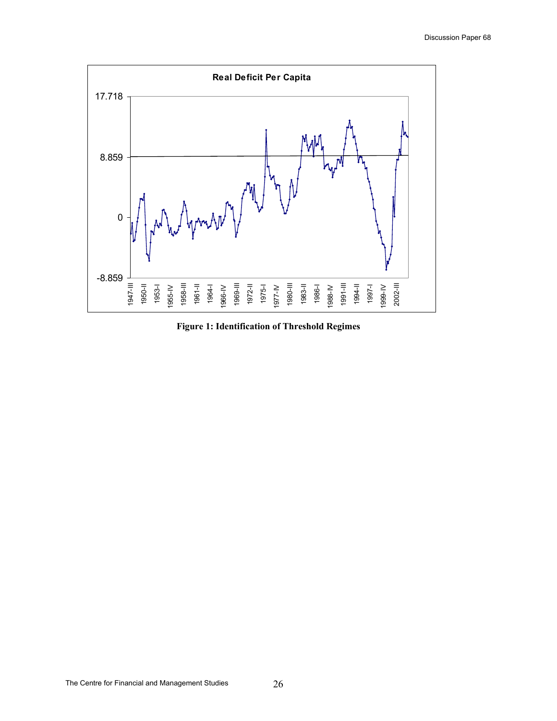

**Figure 1: Identification of Threshold Regimes**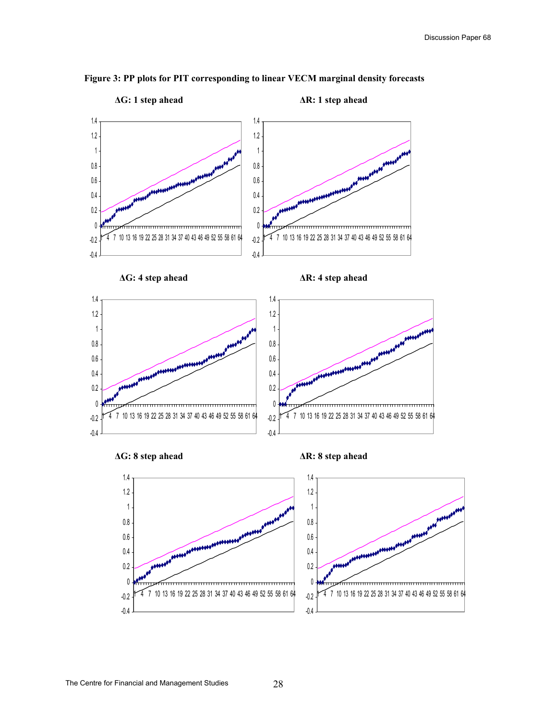

# **Figure 3: PP plots for PIT corresponding to linear VECM marginal density forecasts**



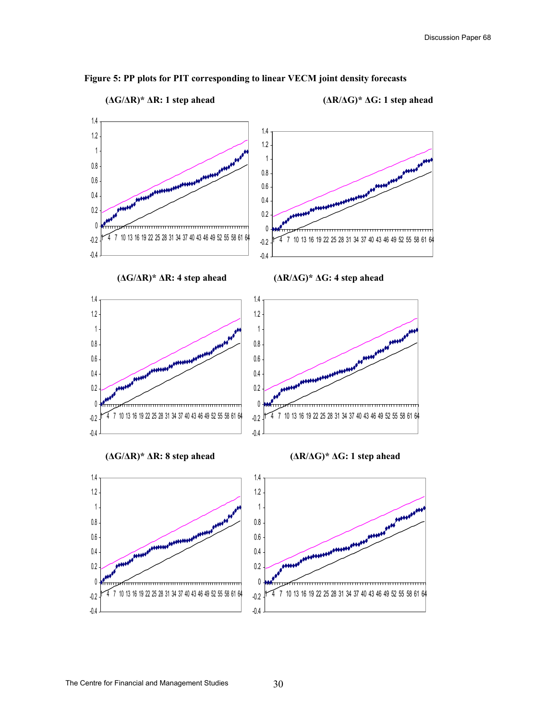

# **Figure 5: PP plots for PIT corresponding to linear VECM joint density forecasts**

**(∆G/∆R)\* ∆R: 1 step ahead (∆R/∆G)\* ∆G: 1 step ahead** 

-0.4

-0.4